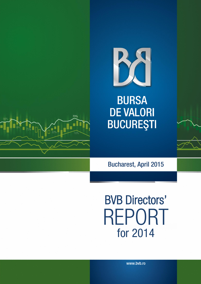

**BURSA DE VALORI BUCUREŞTI** 



Bucharest, April 2015

BVB Directors' REPORT for 2014

www.bvb.ro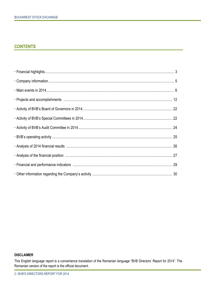# **CONTENTS**

#### **DISCLAIMER**

This English language report is a convenience translation of the Romanian language "BVB Directors' Report for 2014". The Romanian version of the report is the official document.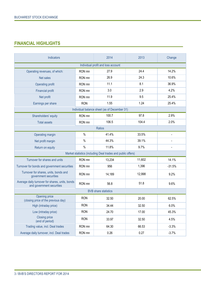# **FINANCIAL HIGHLIGHTS**

| Indicators                                                                   |            | 2014                                                        | 2013   | Change         |  |  |
|------------------------------------------------------------------------------|------------|-------------------------------------------------------------|--------|----------------|--|--|
| Individual profit and loss account                                           |            |                                                             |        |                |  |  |
| Operating revenues, of which:                                                | RON mn     | 27.9                                                        | 24.4   | 14.2%          |  |  |
| Net sales                                                                    | RON mn     | 26.9                                                        | 24.3   | 10.6%          |  |  |
| Operating profit                                                             | RON mn     | 11.1                                                        | 8.1    | 36.9%          |  |  |
| <b>Financial profit</b>                                                      | RON mn     | 3.0                                                         | 2.9    | 4.2%           |  |  |
| Net profit                                                                   | RON mn     | 11.9                                                        | 9.5    | 25.4%          |  |  |
| Earnings per share                                                           | <b>RON</b> | 1.55                                                        | 1.24   | 25.4%          |  |  |
|                                                                              |            | Individual balance sheet (as of December 31)                |        |                |  |  |
| Shareholders' equity                                                         | RON mn     | 100.7                                                       | 97.8   | 2.9%           |  |  |
| <b>Total assets</b>                                                          | RON mn     | 106.5                                                       | 104.4  | 2.0%           |  |  |
|                                                                              |            | Ratios                                                      |        |                |  |  |
| Operating margin                                                             | $\%$       | 41.4%                                                       | 33.5%  | $\blacksquare$ |  |  |
| Net profit margin                                                            | $\%$       | 44.3%                                                       | 39.1%  |                |  |  |
| Return on equity                                                             | $\%$       | 11.8%                                                       | 9.7%   |                |  |  |
|                                                                              |            | Market statistics (including Deal trades and public offers) |        |                |  |  |
| Turnover for shares and units                                                | RON mn     | 13,234                                                      | 11,602 | 14.1%          |  |  |
| Turnover for bonds and government securities                                 | RON mn     | 956                                                         | 1,396  | $-31.5%$       |  |  |
| Turnover for shares, units, bonds and<br>government securities               | RON mn     | 14,189                                                      | 12,998 | 9.2%           |  |  |
| Average daily turnover for shares, units, bonds<br>and government securities | RON mn     | 56.8                                                        | 51.8   | 9.6%           |  |  |
| <b>BVB</b> share statistics                                                  |            |                                                             |        |                |  |  |
| Opening price<br>(closing price of the previous day)                         | <b>RON</b> | 32.50                                                       | 20.00  | 62.5%          |  |  |
| High (intraday price)                                                        | <b>RON</b> | 34.44                                                       | 32.50  | 6.0%           |  |  |
| Low (intraday price)                                                         | <b>RON</b> | 24.70                                                       | 17.00  | 45.3%          |  |  |
| <b>Closing price</b><br>(end of period)                                      | <b>RON</b> | 33.97                                                       | 32.50  | 4.5%           |  |  |
| Trading value, incl. Deal trades                                             | RON mn     | 64.30                                                       | 66.53  | $-3.3%$        |  |  |
| Average daily turnover, incl. Deal trades                                    | RON mn     | 0.26                                                        | 0.27   | $-3.7%$        |  |  |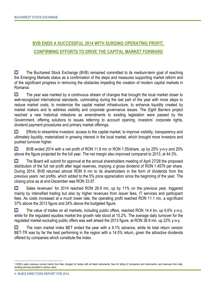# **BVB ENDS A SUCCESSFUL 2014 WITH SURGING OPERATING PROFIT, CONFIRMING EFFORTS TO DRIVE THE CAPITAL MARKET FORWARD**

M The Bucharest Stock Exchange (BVB) remained committed to its medium-term goal of reaching the Emerging Markets status as a confirmation of the steps and measures supporting market reform and of the significant progress in removing the obstacles impeding the creation of modern capital markets in Romania.

M The year was marked by a continuous stream of changes that brought the local market closer to well-recognized international standards, culminating during the last part of the year with more steps to reduce market costs, to modernize the capital market infrastructure, to enhance liquidity created by market makers and to address visibility and corporate governance issues. The *Eight Barriers* project reached a new historical milestone as amendments to existing legislation were passed by the Government, offering solutions to issues referring to account opening, investors' corporate rights, dividend payment procedures and primary market offerings.

M Efforts to streamline investors' access to the capital market, to improve visibility, transparency and ultimately liquidity, materialized in growing interest in the local market, which brought more investors and pushed turnover higher.

M BVB ended 2014 with a net profit of RON 11.9 mn or RON 1.55/share, up by 25% y-o-y and 20% above the figure projected for the full year. The net margin also improved compared to 2013, at 44.3%.

**M** The Board will submit for approval at the annual shareholders meeting of April 27/28 the proposed distribution of the full net profit after legal reserves, implying a gross dividend of RON 1.4579 per share. During 2014, BVB returned almost RON 9 mn to its shareholders in the form of dividends from the previous years' net profits, which added to the 5% price appreciation since the beginning of the year. The closing price as at end-December was RON 33.97.

M Sales revenues<sup>1</sup> for 2014 reached RON 26.9 mn, up by 11% on the previous year, triggered mainly by intensified trading but also by higher revenues from issuer fees, IT services and participant fees. As costs increased at a much lower rate, the operating profit reached RON 11.1 mn, a significant 37% above the 2013 figure and 24% above the budgeted figure.

M The value of trades on all markets, including public offers, reached RON 14.4 bn, up 6.6% y-o-y, while for the regulated equities market the growth rate stood at 15.2%. The average daily turnover for the regulated market excluding public offers was well ahead the 2013 figure, at RON 38.9 mn, up 22% y-o-y.

**M** The main market index BET ended the year with a 9.1% advance, while its total return version BET-TR was by far the best performing in the region with a 14.5% return, given the attractive dividends offered by companies which constitute the index.

 $\overline{a}$ 

<sup>1</sup> BVB's sales revenues consist mainly from fees charged for trades with all listed instruments, fees for listing of companies and instruments, and revenues from data vending services provided to various users.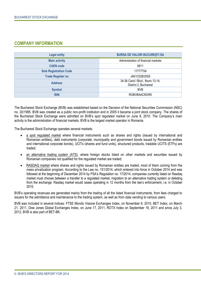## **COMPANY INFORMATION**

| <b>Legal entity</b>           | <b>BURSA DE VALORI BUCURESTI SA</b>                         |
|-------------------------------|-------------------------------------------------------------|
| <b>Main activity</b>          | Administration of financial markets                         |
| <b>CAEN</b> code              | 6611                                                        |
| <b>Sole Registration Code</b> | 17777754                                                    |
| <b>Trade Register no</b>      | J40/12328/2005                                              |
| <b>Address</b>                | 34-36 Carol I Blvd., floors 13-14,<br>District 2, Bucharest |
| <b>Symbol</b>                 | <b>BVB</b>                                                  |
| <b>ISIN</b>                   | ROBVBAACNOR0                                                |

The Bucharest Stock Exchange (BVB) was established based on the Decision of the National Securities Commission (NSC) no. 20/1995. BVB was created as a public non-profit institution and in 2005 it became a joint stock company. The shares of the Bucharest Stock Exchange were admitted on BVB's spot regulated market on June 8, 2010. The Company's main activity is the administration of financial markets. BVB is the largest market operator in Romania.

The Bucharest Stock Exchange operates several markets:

- a spot regulated market where financial instruments such as shares and rights (issued by international and Romanian entities), debt instruments (corporate, municipality and government bonds issued by Romanian entities and international corporate bonds), UCITs (shares and fund units), structured products, tradable UCITS (ETFs) are traded;
- an alternative trading system (ATS), where foreign stocks listed on other markets and securities issued by Romanian companies not qualified for the regulated market are traded;
- RASDAQ market where shares and rights issued by Romanian entities are traded, most of them coming from the mass privatization program. According to the Law no. 151/2014, which entered into force in October 2014 and was followed at the beginning of December 2014 by FSA's Regulation no. 17/2014, companies currently listed on Rasdaq market must choose between a transfer to a regulated market, migration to an alternative trading system or delisting from the exchange. Rasdaq market would cease operating in 12 months from the law's enforcement, i.e. in October 2015.

BVB's operating revenues are generated mainly from the trading of all the listed financial instruments, from fees charged to issuers for the admittance and maintenance to the trading system, as well as from data vending to various users.

BVB was included in several indices: FTSE Mondo Visione Exchanges Index, on November 9, 2010, BET Index, on March 21, 2011, Dow Jones Global Exchanges Index, on June 17, 2011, ROTX Index on September 19, 2011 and since July 3, 2012, BVB is also part of BET-BK.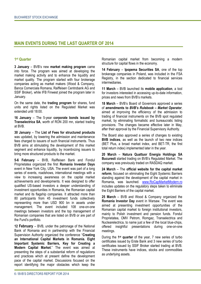## **MAIN EVENTS DURING THE LAST QUARTER OF 2014**

### **1 st Quarter**

**3 January** – BVB's new **market making program** came into force. The program was aimed at developing the market making activity and to enhance the liquidity and market quality. The program started with four brokerage companies acting as market makers (Wood & Company, Banca Comerciala Romana, Raiffeisen Centrobank AG and SSIF Broker), while IFB Finwest joined the program later in January.

On the same date, the **trading program** for shares, fund units and rights listed on the Regulated Market was extended until 18:00.

**16 January** – The 5-year **corporate bonds issued by Transelectrica SA**, worth of RON 200 mn, started trading at BVB.

**30 January** – The **List of Fees for structured products** was updated, by lowering the admission and maintenance fees charged to issuers of such financial instruments. Thus BVB aims at stimulating the development of this market segment and enhance liquidity, by incentivizing issuers to bring more structured products to the market.

**5-6 February** – BVB, Raiffeisen Bank and Fondul Proprietatea organized the first **Romania Investor Days** event in New York City, USA. The event was part of a long series of events, roadshows, international meetings with a view to increasing awareness on the capital market achievements and developments. It was designed to offer qualified US-based investors a deeper understanding of investment opportunities in Romania, the Romanian capital market and its flagship companies. It attracted more than 80 participants from 45 investment funds collectively representing more than USD 900 bn in assets under management. The event included 108 one-on-one meetings between investors and the top management of Romanian companies that are listed on BVB or are part of the Fund's portfolio.

**12 February** – BVB, under the patronage of the National Bank of Romania and in partnership with the Financial Supervision Authority organized the conference "**Creating an International Capital Markets in Romania. Eight Important Systemic Barriers, Key for Creating a Modern Capital Market**." The event was aimed at presenting the steps of a substantial reform of regulations and practices which at present define the development pace of the capital market. Discussions focused on the report identifying the major obstacles which keep the

Romanian capital market from becoming a modern structure for capital flows in the economy.

**14 February** – **Ipopema Securities SA**, one of the top brokerage companies in Poland, was included in the FSA Registry, in the section dedicated to financial services intermediaries.

**11 March** – BVB launched its **mobile application**, a tool for investors interested in accessing up-to-date information, prices and news from BVB's markets.

**18 March** – BVB's Board of Governors approved a series of **amendments to** *BVB's Rulebook – Market Operator*, aimed at improving the efficiency of the admission to trading of financial instruments on the BVB spot regulated market, by eliminating formalistic and bureaucratic listing provisions. The changes became effective later in May, after their approval by the Financial Supervisory Authority.

The Board also approved a series of changes to existing **BVB indices**, as well as the launch of two new indices (BET Plus, a broad market index, and BET-TR, the first total return index) implemented later in the year.

**20 March** – **Natura Quattuor Energia Holdings SA Bucuresti** started trading on BVB's Regulated Market. The company was previously traded on RASDAQ market.

**24 March** – The **official website for the capital market reform**, focused on eliminating the Eight Systemic Barriers standing against the development of the capital market in Romania, was launched. [www.RoCapMarketModern.ro](http://www.rocapmarketmodern.ro/) includes updates on the regulatory steps taken to eliminate the Eight Barriers of the capital market.

**25 March** – BVB and Wood & Company organized the **Romania Investor Day** event in Warsaw. The event was aimed at presenting investment opportunities of the Romanian capital market to foreign institutional investors, mainly to Polish investment and pension funds. Fondul Proprietatea, OMV Petrom, Romgaz, Transelectrica and Nuclearelectrica, to name just a few of the local blue-chips, offered insightful presentations during one-on-one meetings.

During the **1 st quarter** of the year, 7 new series of turbo certificates issued by Erste Bank and 3 new series of turbo certificates issued by SSIF Broker started trading at BVB. These instruments have indices, stocks and commodities as underlying assets.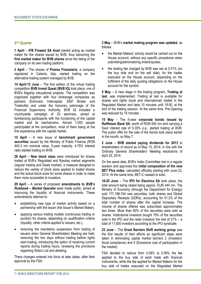## **2 nd Quarter**

**1 April** – **IFB Finwest SA Arad** started acting as market maker for the shares issued by BVB, thus becoming the **first market maker for BVB shares** since the listing of the company on its own trading platform.

**2 April** – The shares of **Premia Finanziaria**, a company registered in Catania, Italy, started trading on the alternative trading system managed by BVB.

**14 April-13 June** – The first edition of the virtual trading competition **BVB Invest Quest (BVB IQ)** took place, one of BVB's flagship educational projects. The competition was organized together with four brokerage companies as partners (Estinvest, Intercapital, SSIF Broker and Tradeville) and under the honorary patronage of the Financial Supervisory Authority. BVB IQ included a countrywide campaign of 20 seminars, aimed at familiarizing participants with the functioning of the capital market and its mechanisms. Almost 1,000 people participated at the competition, most of them being at the first experience with the capital market.

**15 April** – A new issue of **benchmark government securities** issued by the Ministry of Public Finance (RON 440.3 mn nominal value, 5-year maturity, 4.75% interest rate) started trading on BVB.

**28 April** – **New block sizes** were introduced for shares traded at BVB's Regulated and Rasdaq market segments (regular trading and Deals market), a measure designed to reduce the variety of block sizes applied to traded shares and the actual block sizes for some shares in order to make them more accessible to investors.

**29 April** – A series of proposed **amendments to** *BVB's Rulebook – Market Operator* were made public, aimed at improving the liquidity of financial instruments. These amendments referred to:

- establishing new type of market activity based on a partnership with the issuer (the Issuer's Market Maker),
- applying various trading models (continuous trading or auction) for shares, depending on qualification criteria (liquidity, other criteria applied to issuers, etc.),
- removing the mandatory suspension from trading of issuers when General Shareholders Meeting are held, removing the two days without trading before rights start trading, introducing the option of receiving current reports during trading hours, reviewing the provisions regarding Watch List and delisting.

There changes entered into force at later dates, after their approval by the FSA.

**2 May** – BVB's **market making program was updated**, as follows:

- the Market Makers' activity would be carried out on the House account, without any specific procedures when submitting/administering orders/quotes;
- the trading fee charged by BVB was set at 0.01% (on the buy side and on the sell side), for the trades executed on the House account, depending on the fulfilment of the daily quoting obligations on the House account for the symbol.

**5 May** – A new stage in the trading program, **Trading at last**, was implemented. Trading at last is available for shares and rights (local and international) traded in the Regulated Market and lasts 10 minutes until 18:00, at the end of the trading session. At the same time, Pre-Opening was reduced by 15 minutes.

**15 May** – The 5-year **corporate bonds issued by Raiffeisen Bank SA**, worth of RON 500 mn and carrying a fixed interest rate of 5.35% p.a., started trading at BVB. The public offer for the sale of the bonds took place earlier in the month, on May 7.

**2 June** – **BVB started paying dividends for 2013** to shareholders of record as of May 15, 2014, in line with the Ordinary General Shareholders' Meeting resolutions of April 25, 2014.

On the same date, BVB's Index Committee met in a regular session and approved the **initial composition of the new BET Plus index**, calculated officially starting with June 23, 2014. At the same time, BET-C ceased to exist.

**16-25 June** – The **IPO for Electrica SA** took place, the total amount being raised being approx. EUR 444 mn. The Ministry of Economy (through the Department for Energy) sold 177,188,744 new securities, both shares and Global Depositary Receipts (GDRs), accounting for 51.2% of the total number of shares after the capital increase. The volume of shares offered was subscribed approximately two times. More than 80% of the securities were sold as shares. Institutional investors bought 79% of the securities sold in the IPO and the retail investors the rest of 21% – a total of 11,600 investors according to the IPO syndicate.

**23 June** – The **Great Barriers Shift working group** saw the first results of their efforts as significant steps were taken in eliminating capital market barriers 2 (Investors' fiscal compliance) and 5 (Excessive cost of participation in the market).

FSA decided to reduce from 0.08% to 0.06% the fee applied to the buy side of each trade with financial instruments, while the fee applied for Market Makers for the buy side of trades executed on the Regulated Market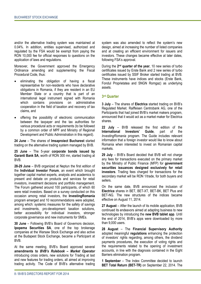and/or the alternative trading system was maintained at 0.04%. In addition, entities supervised, authorized and regulated by the FSA would be exempt from paying the RON 10,000 fee for official responses to questions on the application of laws and regulations.

Moreover, the Government approved the Emergency Ordinance amending and supplementing the Fiscal Procedural Code, thus:

- eliminating the obligation of having a fiscal representative for non-residents who have declarative obligations in Romania, if they are resident in an EU Member State or a country that is part of an international legal instrument signed with Romania which contains provisions on administrative cooperation in the field of taxation and recovery of tax claims, and
- offering the possibility of electronic communication between the taxpayer and the tax authorities for various procedural acts or requirements (to be followed by a common order of MPF and Ministry of Regional Development and Public Administration in this regard).

**24 June** – The shares of **Imsaproiect Bucharest** started trading on the alternative trading system managed by BVB.

**25 June** – The 5-year **corporate bonds issued by Garanti Bank SA**, worth of RON 300 mn, started trading at BVB.

**28-29 June** – BVB organized at Neptun the first edition of the **Individual Investor Forum**, an event which brought together capital market experts, analysts and academics to present and debate on products and services for retail investors, investment decisions and portfolio management. The Forum gathered around 100 participants, of which 60 were retail investors. Based on a survey conducted on this occasion among retail investors, the **InvestingRomania** program emerged and 10 recommendations were adopted, among which: systemic measures for the safety of savings and investments, pro-development taxation solutions, better accessibility for individual investors, stronger corporate governance and new instruments for SMEs.

**30 June** – Following BVB's Board of Governors decision, **Ipopema Securities SA**, one of the top brokerage companies at the Warsaw Stock Exchange and also active at the Budapest Stock Exchange, became a Participant at BVB.

At the same meeting, BVB's Board approved several **amendments to** *BVB's Rulebook – Market Operator* introducing cross orders, new solutions for Trading at last and new features for trading orders, all aimed at improving trading activity. The Code of BVB's alternative trading

system was also amended to reflect the system's new design, aimed at increasing the number of listed companies and at creating an efficient environment for issuers and investors. These changes became effective at later dates, following FSA's approval.

During the 2<sup>nd</sup> quarter of the year, 10 new series of turbo certificates issued by Erste Bank and 2 new series of turbo certificates issued by SSIF Broker started trading at BVB. These instruments have indices and stocks (Erste Bank, Fondul Proprietatea and SNGN Romgaz) as underlying assets.

## **3 rd Quarter**

**3 July** – The shares of **Electrica** started trading on BVB's Regulated Market. Raiffeisen Centrobank AG, one of the Participants that had joined BVB's market makers program, announced that it would act as a market maker for Electrica shares.

**22 July** – BVB released the first edition of the **International Investors' Guide**, part of the *InvestingRomania* program. The Guide includes relevant information that a foreign investor would like to know about Romania when interested to invest on Romanian capital markets.

**29 July** – BVB's Board decided that BVB will not charge any fees for transactions executed on the primary market by the Ministry of Public Finance (MFP) for **government securities issuances designed exclusively for retail investors**. Trading fees charged for transactions for the secondary market will be RON 1/trade, for both buyers and sellers.

On the same date, BVB announced the inclusion of **Electrica** shares in BET, BET-XT, BET-BK, BET Plus and BET-NG. The new structures of the indices became effective on August 11, 2014.

27 **August** – After the launch of its mobile application, BVB continued its endeavors aimed at adapting business to new technologies by introducing the **new BVB tablet app**. Until the end of 2014, BVB's apps were downloaded by more than 9,000 users.

**28 August** – The **Financial Supervisory Authority**  adopted meaningful **regulations** enhancing the protection of investors' rights regarding, among others, the dividend payments procedures, the execution of voting rights and the requirements related to the opening of investment accounts, in line with the diagnosis contained in the Eight Barriers elimination program.

**1 September** – The Index Committee decided to launch **BET Total Return (BET-TR)** on September 22, 2014. The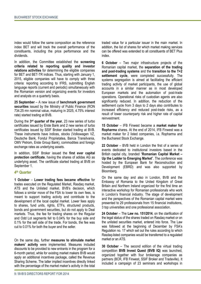index would follow the same composition as the reference index BET and will track the overall performance of the constituents, including the price performance and the dividends.

In addition, the Committee established the **screening criteria related to reporting quality and investor relations activities** for determining the eligible companies for BET and BET-TR indices. Thus, starting with January 1, 2015, eligible companies will have to comply with three criteria: reporting according to IFRS, submitting English language reports (current and periodic) simultaneously with the Romanian version and organizing events for investors and analysts on a quarterly basis.

**25 September** – A new issue of **benchmark government securities** issued by the Ministry of Public Finance (RON 734.25 mn nominal value, maturing in 2025, 4.75% interest rate) started trading at BVB.

During the **3 rd quarter of the year**, 23 new series of turbo certificates issued by Erste Bank and 2 new series of turbo certificates issued by SSIF Broker started trading at BVB. These instruments have indices, stocks (Volkswagen VZ, Deutsche Bank, Fondul Proprietatea, Banca Transilvania, OMV Petrom, Erste Group Bank), commodities and foreign exchange rates as underlying assets.

In addition, SSIF Broker issued the **first ever capital protection certificate**, having the shares of adidas AG as underlying asset. The certificate started trading at BVB on September 1.

#### **4 th Quarter**

**1 October** – **Lower trading fees became effective** for trades executed on the Regulated Market, Rasdaq market, ATS and the Unlisted market. BVB's decision, which follows a similar move of the FSA to lower its own fees, is meant to support trading activity and contribute to the development of the local capital market. Lower fees apply to shares, fund units, rights, ETFs, structured products, bonds and government securities, but do not apply to Deal markets. Thus, the fee for trading shares on the Regular and Odd Lot segments fell to 0.04% for the buy side and 0.1% for the sell side of the trade. For bonds, the fee was cut to 0.01% for both the buyer and the seller.

On the same day, further **measures to stimulate market makers' activity** were implemented. Measures included discounts to be provided to new entrants in the program for a 6-month period, while for existing market makers BVB would apply an additional incentives package, called the Revenue Sharing Scheme. The latter implied incentives directly linked with the percentage of the market maker's activity in the total

traded value for a particular issuer in the main market. In addition, the list of shares for which market making services can be offered was extended to all constituents of BET Plus index.

**6 October** – Two major infrastructure projects of the Romanian capital market, the **separation of the trading and post-trading systems** and the **transition to the T+2**  settlement cycle, were completed successfully. The systems segregation is aimed at facilitating the efficient trading activity of market participants, the use of global accounts in a similar manner as in most developed European markets and the automation of post-trade operations. Operational risks of custodian agents are also significantly reduced. In addition, the reduction of the settlement cycle from 3 days to 2 days also contributes to increased efficiency and reduced post-trade risks, as a result of lower counterparty risk and higher rate of capital reinvestment.

**15 October** – IFB Finwest became a **market maker for Ropharma** shares. At the end of 2014, IFB Finwest was a market maker for 2 listed companies, i.e. Ropharma and the Bucharest Stock Exchange.

**22 October** – BVB held in London the first of a series of events dedicated to institutional investors based in the British capital city, branded "**Romanian Capital Market – Up the Ladder to Emerging Market**". The conference was hosted by the European Bank for Reconstruction and Development (EBRD) and was also supported by Bloomberg.

On the same day and also in London, BVB and the Embassy of Romania to the United Kingdom of Great Britain and Northern Ireland organized for the first time an interactive workshop for Romanian professionals who work in London's financial industry. The stage of development and the perspectives of the Romanian capital market were presented to 29 professionals from 15 financial institutions, 3 top universities and one professional association.

**24 October** – The **Law no. 151/2014**, on the clarification of the legal status of the shares traded on Rasdaq market or on the unlisted securities market, entered into force. The Law was followed at the beginning of December by FSA's Regulation no. 17 which set out the rules according to which Rasdaq-listed companies would be transferred to a regulated market or an ATS

**30 October** – The second edition of the virtual trading competition **BVB Invest Quest (BVB IQ)** was launched, organized together with four brokerage companies as partners (BCR, IFB Finwest, SSIF Broker and Tradeville). It included a campaign of 23 seminars and workshops in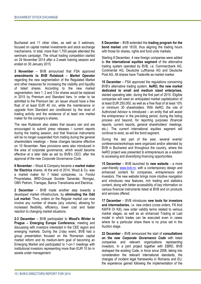Bucharest and 11 other cities, as well as 3 webinars, focused on capital market investments and stock exchange mechanisms. In total, more than 1,700 people attended the seminars campaign. The virtual trading competition started on 24 November 2014 after a 2-week training session and ended on 30 January 2015.

**3 November** – BVB announced that FSA approved **amendments to** *BVB Rulebook – Market Operator* regarding the new segmentation of the Regulated Market and other measures for increasing the visibility and liquidity of listed shares. According to the new market segmentation, tiers 1, 2 and 3 for shares would be replaced in 2015 by Premium and Standard tiers. In order to be admitted to the Premium tier, an issuer should have a free float of at least EUR 40 mn, while the maintenance or upgrade from Standard are conditioned by the level of trading activity and the existence of at least one market maker for the company's shares.

The new Rulebook also states that issuers can and are encouraged to submit press releases / current reports during the trading session, and that financial instruments will be no longer suspended from trading during the general shareholders meetings – these changes became effective on 10 November. New provisions were also introduced in the area of corporate governance, which would become effective at a later date as set by BVB's CEO, after the approval of the new *Corporate Governance Code*.

**6 November** – Wood & Company became a **market maker for Electrica** shares. At the end of 2014, Wood & Co. was a market maker for 7 listed companies, i.e. Fondul Proprietatea, BRD-Groupe Societe Generale, Romgaz, OMV Petrom, Transgaz, Banca Transilvania and Electrica.

**2 December** – BVB made another step towards a developed market infrastructure, by **eliminating the Odd Lot market**. Thus, orders on the Regular market can now involve any number of shares (any volume), allowing for increased flexibility, efficiency, lower cost and faster reaction to changing market situations.

**2-3 December** – BVB participated to **Wood's Winter in Prague – Emerging Europe Conference**, meeting and discussing with investors interested in the CEE region and emerging markets. During the 2-day event, BVB had a group presentation focused on the Romanian capital market reform and its medium-term goal of becoming an Emerging Market and participated to 1-on-1 meetings with institutional investors representing more than EUR 10 bn in assets under management.

**8 December** – BVB extended the **trading program for the bond market** until 18:00, thus aligning the trading hours with those for shares, rights and fund units markets.

Starting 8 December, 4 new foreign companies were added to **the international equities segment** of the alternative trading system operated by BVB, i.e. Commerzbank AG, Continental AG, Deutsche Lufthansa AG and Deutsche Post AG. All shares have Tradeville as market marker.

**10 December** – FSA approved the regulations concerning BVB's alternative trading system. **AeRO, the new market dedicated to small and medium sized enterprises**, started operating later, during the first part of 2015. Eligible companies will need an anticipated market capitalization of at least EUR 250,000, as well as a free float of at least 10% or minimum 30 shareholders. With AeRO, the role of Authorized Advisor is introduced – an entity that will assist the entrepreneur in the pre-listing period, during the listing process and beyond, for reporting purposes (financial reports, current reports, general shareholders' meetings, etc.). The current international equities segment will continue to exist, as will the bond segment.

During the last part of the year, several events/ conferences/workshops were organized and/or attended by BVB in Bucharest and throughout the country, where the AeRO project was presented to entrepreneurs as a solution to accessing and diversifying financing opportunities.

**15 December** – BVB launched its **new website** – a more user-friendly [www.bvb.ro,](http://www.bvb.ro/) with a contemporary design and enhanced content for companies, entrepreneurs and investors. The new website brings more intuitive navigation and introduces new features, rich trading and statistics content, along with better accessibility of key information on various financial instruments listed at BVB and on products and services offered.

**17 December** – BVB introduces **new tools for investors and intermediaries**, i.e. new orders (cross orders, Fill And Kill/Fill Or Kill), new order validity terms related to various market stages, as well as an enhanced Trading at Last model in which trades can be executed even in cases where for a particular share there is no price set in the Auction stage.

**22 December** – BVB announced the start of **consultations on the new** *Corporate Governance Code* with listed companies and relevant organizations representing investors. In a joint project together with EBRD, BVB reshaped the existing Code, in force since 2008, taking into consideration the relevant international standards, the changes of incident legal frameworks in Romania and EU, the experience gained following the implementation of the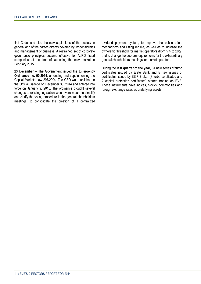first Code, and also the new aspirations of the society in general and of the parties directly covered by responsibilities and management of business. A restrained set of corporate governance principles became effective for AeRO listed companies, at the time of launching the new market in February 2015.

**23 December** – The Government issued the **Emergency Ordinance no. 90/2014**, amending and supplementing the Capital Markets Law 297/2004. The GEO was published in the Official Gazette on December 30, 2014 and entered into force on January 9, 2015. The ordinance brought several changes to existing legislation which were meant to simplify and clarify the voting procedure in the general shareholders meetings, to consolidate the creation of a centralized dividend payment system, to improve the public offers mechanisms and listing regime, as well as to increase the ownership threshold for market operators (from 5% to 20%) and to change the quorum requirements for the extraordinary general shareholders meetings for market operators.

During the **last quarter of the year**, 31 new series of turbo certificates issued by Erste Bank and 5 new issues of certificates issued by SSIF Broker (3 turbo certificates and 2 capital protection certificates) started trading on BVB. These instruments have indices, stocks, commodities and foreign exchange rates as underlying assets.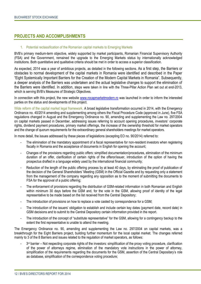## **PROJECTS AND ACCOMPLISHMENTS**

#### 1. Potential reclassification of the Romanian capital markets to Emerging Markets

BVB's primary medium-term objective, widely supported by market participants, Romanian Financial Supervisory Authority (FSA) and the Government, remained the upgrade to the Emerging Markets status by internationally acknowledged institutions. Both quantitative and qualitative criteria should be met in order to access a superior classification.

As expected, 2014 was a year of ambitious projects, as detailed in the following sections. As a first step, the Barriers or obstacles to normal development of the capital markets in Romania were identified and described in the Paper "Eight Systemically Important Barriers for the Creation of the Modern Capital Markets in Romania". Subsequently, a deeper analysis of the Barriers was undertaken and the actual legislative changes to support the elimination of the Barriers were identified. In addition, steps were taken in line with the Three-Pillar Action Plan set out at end-2013, which is serving BVB's Measures of Strategic Objectives.

In connection with this project, the new website [www.rocapmarketmodern.ro](http://www.rocapmarketmodern.ro/) was launched in order to inform the interested parties on the status and developments of this project.

Wide reform of the capital market legal framework. A broad legislative transformation occurred in 2014, with the Emergency Ordinance no. 40/2014 amending and supplementing among others the Fiscal Procedure Code (approved in June), five FSA regulations changed in August and the Emergency Ordinance no. 90, amending and supplementing the Law no. 297/2004 on capital markets passed in December, addressing issues referring to account opening procedures, investors' corporate rights, dividend payment procedures, primary market offerings, the increase of the ownership threshold for market operators and the change of quorum requirements for the extraordinary general shareholders meetings for market operators.

In more detail, the issues addressed by these pieces of legislations (excepting EO no. 90/2014) referred to:

- The elimination of the mandatory appointment of a fiscal representative for non-resident investors when registering fiscally in Romania and the acceptance of documents in English for opening the account;
- Changes of the provisions regarding public offers: simplified documentation/procedures, elimination of the minimum duration of an offer, clarification of certain rights of the offeror/issuer, introduction of the option of having the prospectus drafted in a language widely used by the international financial community;
- Reduction of the length of the public offering process by at least 40 days, by eliminating the proof of publication of the decision of the General Shareholders' Meeting (GSM) in the Official Gazette and by requesting only a statement from the management of the company regarding any opposition as to the moment of submitting the documents to FSA for the approval of a public offering;
- The enforcement of provisions regarding the distribution of GSM-related information in both Romanian and English within minimum 30 days before the GSM and, for the vote in the GSM, allowing proof of identity of the legal representative to be made based on the list received from the Central Depository;
- The introduction of provisions on how to replace a vote casted by correspondence for a GSM;
- The introduction of the issuers' obligation to establish and include certain key dates (payment date, record date) in GSM decisions and to submit to the Central Depository certain information provided in the report.
- The introduction of the concept of "substitute representative" for the GSM, allowing for a contingency backup to the extent the first representative is unable to attend the meeting.

The Emergency Ordinance no. 90, amending and supplementing the Law no. 297/2004 on capital markets, was a breakthrough for the Eight Barriers project, building further momentum for the local capital market. The changes referred mainly to 3 of the 8 Barriers and issues related to the regulation of market operators, as follows:

- 3<sup>rd</sup> barrier – Not respecting corporate rights of the investors: simplification of the proxy voting procedure, clarification of the power of attorneys regime, elimination of the mandatory vote instructions in the power of attorney, simplification of the requirements regarding the documents for the GSM, assertion of the Central Depositary's role as database, simplification of the correspondence voting procedure;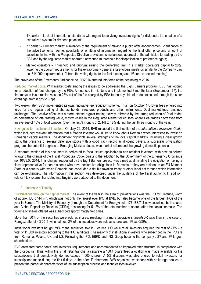- 4<sup>th</sup> barrier Lack of international standards with regard to servicing investors' rights for dividends: the creation of a centralized system for dividend payments;
- 7<sup>th</sup> barrier Primary market: elimination of the requirement of making a public offer announcement, clarification of the advertisements regime, possibility of omitting of information regarding the final offer price and amount of securities in line with the Prospectus Directive provisions, simultaneous approval of the admission to trading by the FSA and by the regulated market operator, new quorum threshold for disapplication of preference rights;
- Market operators Threshold and quorum: raising the ownership limit in a market operator's capital to 20%, lowering the quorum requirements for the extraordinary general shareholders meetings similar to the Company Law no. 31/1990 requirements (1/4 from the voting rights for the first meeting and 1/5 for the second meeting).

The provisions of the Emergency Ordinance no. 90/2014 entered into force at the beginning of 2015.

Reduced market costs. With market costs among the issues to be addressed the Eight Barriers program, BVB has lobbied for a reduction of fees charged by the FSA. Announced in mid-June and implemented 3 months later (September 16<sup>th</sup>), the first move in this direction was the 25% cut of the fee charged by FSA to the buy side of trades executed through the stock exchange, from 8 bps to 6 bps.

Two weeks later, BVB implemented its own innovative fee reduction scheme. Thus, on October 1<sup>st</sup>, lower fees entered into force for the regular trading of shares, bonds, structured products and other instruments. Deal market fees remained unchanged. The positive effect was a more intense regular trading activity, mirrored by the strong reduction of Deal trades as percentage of total trading value, mostly visible in the Regulated Market for equities where Deal trades decreased from an average of 45% of total turnover (over the first 9 months of 2014) to 18% during the last three months of the year.

New guide for institutional investors. On July 22, 2014, BVB released the first edition of the *International Investors' Guide*, which included relevant information that a foreign investor would like to know about Romania when interested to invest on Romanian capital markets. The document highlights several strengths of the local capital markets, including a clear growth story, the presence of several defensive stocks with a good track record as dividend payers, a successful privatization program, the potential upgrade to Emerging Markets status, wide market reform and the growing domestic potential.

A separate section of this document is dedicated to fiscal issues applicable to non-resident investors, with new guidelines following the change of the Fiscal Procedural Code, pursuing the adoption by the Government of the Emergency Ordinance no. 40/23.06.2014. This change, requested by the Eight Barriers project, was aimed at eliminating the obligation of having a fiscal representative for non-residents who have declarative obligations in Romania, if they are resident in an EU Member State or a country with which Romania has concluded a double taxation treaty or other legal act through which information can be exchanged. The information in this section was developed under the guidance of the fiscal authority. In addition, relevant tax returns, translated into English, were attached to the document.

#### 2. Increase of liquidity

Privatizations through the capital market. The event of the year in the area of privatizations was the IPO for Electrica, worth of approx. EUR 444 mn, which was not only the largest ever IPO at BVB, but also became one of the largest IPOs of the year in Europe. The Ministry of Economy (through the Department for Energy) sold 177,188,744 new securities, both shares and Global Depositary Receipts (GDRs), accounting for 51.2% of the total number of shares after the capital increase. The volume of shares offered was subscribed approximately two times.

More than 80% of the securities were sold as shares, resulting in a more favorable shares/GDR ratio than in the case of Romgaz offer of 4Q 2013, when almost 2/3 of the securities were sold as shares and 1/3 as GDRs.

Institutional investors bought 79% of the securities sold in Electrica IPO while retail investors acquired the rest of 21% – a total of 11,600 investors according to the IPO syndicate. The majority of institutional investors who subscribed in the IPO are from Romania, Poland, UK and US. Following the IPO, EBRD and ING Groep became the company's 2<sup>nd</sup> and 3<sup>rd</sup> largest shareholders.

BVB answered participants' and investors' requirements and accommodated an improved offer structure, in compliance with the prospectus. Thus, within the small retail tranche, a separate a 100% guaranteed allocation was made available for the subscriptions that cumulatively do not exceed 1,000 shares. A 5% discount was also offered to retail investors for subscriptions made during the first 5 days of the offer. Furthermore, BVB organized workshops with brokerage houses to present the particular characteristics of the subscription process and technicalities involved.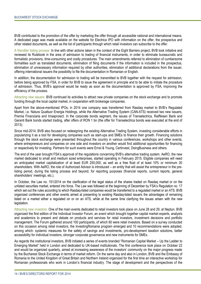BVB contributed to the promotion of the offer by marketing the offer through all accessible national and international means. A dedicated page was made available on the website for Electrica IPO with information on the offer, the prospectus and other related documents, as well as the list of participants through which retail investors can subscribe to the offer.

A friendlier listing process. In line with other actions taken in the context of the Eight Barriers project, BVB took initiative and reviewed its Rulebook in the area of admission to trading of financial instruments, in order to eliminate bureaucratic and formalistic provisions, time-consuming and costly procedures. The main amendments referred to elimination of cumbersome formalities such as translated documents, elimination of filing documents if the information is included in the prospectus, elimination of unnecessary information required by other authorities, elimination of additional declarations from the issuer, offering international issuers the possibility to file the documentation in Romanian or English.

In addition, the documentation for admission to trading will be transmitted to BVB together with the request for admission, before being approved by FSA, in order for BVB to issue the agreement in principle and to be able to initiate the procedure of admission. Thus, BVB's approval would be ready as soon as the documentation is approved by FSA, improving the efficiency of the process.

Attracting new issuers. BVB continued its activities to attract new private companies on the stock exchange and to promote funding through the local capital market, in cooperation with brokerage companies.

Apart from the above-mentioned IPOs, in 2014 one company was transferred from Rasdaq market to BVB's Regulated Market, i.e. Natura Quattuor Energia Holdings, while the Alternative Trading System (CAN-ATS) received two new issuers, Premia Finanziaria and Imsaproiect. In the corporate bonds segment, the issues of Transelectrica, Raiffeisen Bank and Garanti Bank bonds started trading, after offers of RON 1 bn (the offer for Transelectrica bonds was executed at the end of 2013).

Since mid-2014, BVB also focused on redesigning the existing Alternative Trading System, investing considerable efforts in popularizing it as a tool for developing companies such as start-ups and SMEs to finance their growth. Financing solutions through the stock exchange were presented throughout the country in various conferences, workshops and other events, where entrepreneurs and companies on one side and investors on another would find additional opportunities for financing or respectively for investing. Partners for such events were Ernst & Young, Certinvest, DoingBusiness and others.

The end of the year brought FSA's approval of the regulations concerning BVB's alternative trading system. AeRO, the new market dedicated to small and medium sized enterprises, started operating in February 2015. Eligible companies will need an anticipated market capitalization of at least EUR 250,000, as well as a free float of at least 10% or minimum 30 shareholders. With AeRO, the role of Authorized Advisor is introduced – an entity that will assist the entrepreneur in the prelisting period, during the listing process and beyond, for reporting purposes (financial reports, current reports, general shareholders' meetings, etc.).

In October, the Law no. 151/2014 on the clarification of the legal status of the shares traded on Rasdaq market or on the unlisted securities market, entered into force. The Law was followed at the beginning of December by FSA's Regulation no. 17 which set out the rules according to which Rasdag-listed companies would be transferred to a regulated market or an ATS. BVB organized conferences and other events aimed at presenting to existing Rasdaq-listed issuers the advantages of remaining listed on a market either a regulated on or on an ATS, while at the same time clarifying the issues arisen with the new legislation.

Attracting new investors. One of the main events dedicated to retail investors took place on June 28 and 29, at Neptun. BVB organized the first edition of the Individual Investor Forum, an event which brought together capital market experts, analysts and academics to present and debate on products and services for retail investors, investment decisions and portfolio management. The Forum gathered around 100 participants, of which 60 were retail investors. Based on a survey conducted on this occasion among retail investors, the InvestingRomania program emerged and 10 recommendations were adopted, among which: systemic measures for the safety of savings and investments, pro-development taxation solutions, better accessibility for individual investors, stronger corporate governance and new instruments for SMEs.

As regards the institutional investors, BVB initiated a series of events branded "Romanian Capital Market – Up the Ladder to Emerging Market" held in London and dedicated to UK-based institutionals. The first conference took place on October 22 and would be organized quarterly, aimed at increasing awareness of the investors' community on the major progress made by the Bucharest Stock Exchange in terms of market reform. On the same day and also in London, BVB and the Embassy of Romania to the United Kingdom of Great Britain and Northern Ireland organized for the first time an interactive workshop for Romanian professionals who work in London's financial industry. The stage of development and the perspectives of the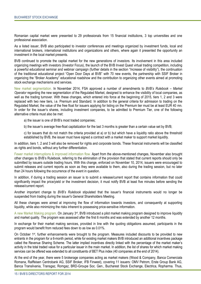Romanian capital market were presented to 29 professionals from 15 financial institutions, 3 top universities and one professional association.

As a listed issuer, BVB also participated to investor conferences and meetings organized by investment funds, local and international brokers, international institutions and organizations and others, where again it presented the opportunity an investment in the local market presents.

BVB continued to promote the capital market for the new generations of investors. Its involvement in this area included organizing meetings with investors (Investor Focus), the launch of the BVB Invest Quest virtual trading competition, including a powerful educational seminar and webinar campaign (further details in the section "Increase of visibility"), the continuation of the traditional educational project "Open Door Days at BVB" with 70 new events, the partnership with SSIF Broker in organizing the "Broker Academy" educational roadshow and the contribution to organizing other events aimed at promoting stock exchange mechanisms and services.

New market segmentation. In November 2014, FSA approved a number of amendments to *BVB's Rulebook – Market Operator* regarding the new segmentation of the Regulated Market, designed to enhance the visibility of local companies, as well as the trading turnover. With these changes, which entered into force at the beginning of 2015, tiers 1, 2 and 3 were replaced with two new tiers, i.e. Premium and Standard. In addition to the general criteria for admission to trading on the Regulated Market, the value of the free float for issuers applying for listing on the Premium tier must be at least EUR 40 mn. In order for the issuer's shares, including investment companies, to be admitted to Premium Tier, one of the following alternative criteria must also be met:

a) the issuer is one of BVB's most traded companies;

b) the issuer's average free-float capitalization for the last 3 months is greater than a certain value set by BVB;

c) for issuers that do not match the criteria provided at a) or b) but which have a liquidity ratio above the threshold established by BVB, the issuer must have signed a contract with a market maker to support market liquidity.

In addition, tiers 1, 2 and 3 will also be removed for rights and corporate bonds. These financial instruments will be classified as rights and bonds, without any further differentiation.

Fewer market interruptions & improved information flow. Apart from the above-mentioned changes, November also brought other changes to BVB's Rulebook, referring to the elimination of the provision that stated that current reports should only be submitted by issuers outside trading hours. With this change, enforced on November 10, 2014, issuers were encouraged to submit releases and current reports as soon as they were available to them, also during the trading session, but no later than 24 hours following the occurrence of the event in question.

In addition, if during a trading session an issuer is to submit a release/current report that contains information that could significantly impact the price/yield or the investment decision, it must notify BVB at least five minutes before sending the release/current report.

Another important change to *BVB's Rulebook* stipulated that the issuer's financial instruments would no longer be suspended from trading during the issuer's General Shareholders Meeting.

All these changes were aimed at improving the flow of information towards investors, and consequently at supporting liquidity, while also minimizing the risks inherent to possessing price-sensitive information.

A new Market Making program. On January 3rd, BVB introduced a pilot market making program designed to improve liquidity and market quality. The program was assessed after the first 6 months and was extended by another 12 months.

In exchange for their market making services, provided in line with the quoting obligations assumed, participants in the program would benefit from reduced fees down to as low as 0.01%.

On October 1st, further enhancements were brought to the program. Measures included discounts to be provided to new entrants in the program for a 6-month period, while for existing market makers BVB introduced an additional incentives package called the Revenue Sharing Scheme. The latter implied incentives directly linked with the percentage of the market maker's activity in the total traded value for a particular issuer in the main market. In addition, the list of shares for which market making services can be offered was extended to all constituents of BET Plus index (40 companies at the end of 2014).

At the end of the year, there were 5 brokerage companies acting as market makers (Wood & Company, Banca Comerciala Romana, Raiffeisen Centrobank AG, SSIF Broker, IFB Finwest), covering 11 issuers: OMV Petrom, Erste Group Bank AG, Banca Transilvania, Transgaz, Romgaz, BRD-Groupe Soc. Gen., Bucharest Stock Exchange, Electrica, Ropharma. Thus,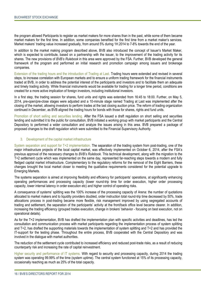the program allowed Participants to register as market makers for more shares than in the past, while some of them became market makers for the first time. In addition, some companies benefited for the first time from a market maker's services. Market makers' trading value increased gradually, from around 5% during 1H.2014 to 7-8% towards the end of the year.

In addition to the market making program described above, BVB also introduced the concept of Issuer's Market Maker, which is expected to contribute, based on a partnership with the issuer, to the improvement of the trading activity for its shares. The new provisions of *BVB's Rulebook* in this area were approved by the FSA. Further, BVB developed the general framework of the program and performed an initial research and promotion campaign among issuers and brokerage companies.

Extension of the trading hours and the introduction of Trading at Last. Trading hours were extended and revised in several steps, to increase correlation with European markets and to ensure a uniform trading framework for the financial instruments traded at BVB, in order to address the potential interest of the participants and investors and to facilitate them an adequate and timely trading activity. While financial instruments would be available for trading for a longer time period, conditions are created for a more active implication of foreign investors, including institutional investors.

In a first step, the trading session for shares, fund units and rights was extended from 16:45 to 18:00. Further, on May 5, 2014, pre-open/pre-close stages were adjusted and a 10-minute stage named Trading at Last was implemented after the closing of the market, allowing investors to perform trades at the last closing auction price. The reform of trading organization continued in December, as BVB aligned the trading hours for bonds with those for shares, rights and fund units.

Promotion of short selling and securities lending. After the FSA issued a draft regulation on short selling and securities lending and submitted it to the public for consultation, BVB initiated a working group with market participants and the Central Depository to performed a wider consultation and analyze the issues arising in this area. BVB prepared a package of proposed changes to the draft regulation which were submitted to the Financial Supervisory Authority.

### 3. Development of the capital market infrastructure

System separation and support for T+2 implementation. The separation of the trading system from post-trading, one of the major infrastructure projects of the local capital market, was effectively implemented on October 6, 2014, after the FSA's previous approval of the necessary changes to *BVB's Rulebook*. This technical development, along with the migration to the T+2 settlement cycle which was implemented on the same day, represented far-reaching steps towards a modern and fully fledged capital market infrastructure. Complementary to the regulatory reforms for the removal of the Eight Barriers, these changes brought the local market closer to meeting the qualitative requirements considered for the potential upgrade to Emerging Markets.

The systems separation is aimed at improving flexibility and efficiency for participants' operations, at significantly enhancing operating performances and processing capacity (lower round-trip time for order execution, higher order processing capacity, lower internal latency in order execution etc) and higher control of operating risks.

A consequence of systems' splitting was the 100% increase of the processing capacity of Arena: the number of quotations allocated to market makers and to liquidity providers doubled, order instruction total round-trip time decreased by 50%, trade allocations process in post-trading became more flexible, risk management improved by using segregated accounts of trading and settlement, the separation of the participants' activity at the front/back office level became clearer. In addition, increasing the trading efficiency (grouped trades execution, change in brokers' behavior - focusing on best execution, not on operational details).

As for the T+2 implementation, BVB has drafted the implementation plan with specific activities and deadlines, has led the consultation and communication process with market participants regarding the implementation process of system splitting and T+2, has drafted the supporting materials towards the implementation of system splitting and T+2 and has provided the IT-support for the testing phase. Throughout the entire process, BVB cooperated with the Central Depository and was involved in the dialogue with market authorities.

The reduction of the settlement cycle contributed to increased efficiency and reduced post-trade risks, as a result of reducing counterparty risk and increasing the rate of capital reinvestment.

Higher security and performance of IT systems. With regard to security and processing capacity, during 2014 the trading system was operating 99.99% of the time (system uptime). The central system functioned at 15% of its processing capacity, occasionally reaching as much as 25% of the total capacity.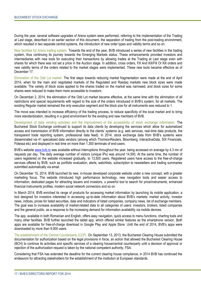During the year, several software upgrades of Arena system were performed, referring to the implementation of the Trading at Last stage, described in an earlier section of this document, the separation of trading from the post-trading environment, which resulted in two separate central systems, the introduction of new order types and validity terms and so on.

New facilities for Arena trading system. Towards the end of the year, BVB introduced a series of new facilities in the trading system, thus continuing its journey towards the Emerging Markets status. These enhancements provided investors and intermediaries with new tools for executing their transactions by allowing trades at the Trading at Last stage even with shares for which there was not set a price in the Auction stage. In addition, cross orders, Fill And Kill/Fill Or Kill orders and new validity terms of the orders related to the market stages were implemented. These new tools became effective as of December 17.

Elimination of the Odd Lot market. The first steps towards reducing market fragmentation were made at the end of April 2014, when for the main and negotiated markets of the Regulated and Rasdaq markets new block sizes were made available. The variety of block sizes applied to the shares traded on the market was narrowed, and block sizes for some shares were reduced to make them more accessible to investors.

On December 2, 2014, the elimination of the Odd Lot market became effective, at the same time with the elimination of all restrictions and special requirements with regard to the size of the orders introduced in BVB's system, for all markets. The existing Regular market remained the only execution segment and the block size for all instruments was reduced to 1.

The move was intended to increase efficiency of the trading process, to reduce specificity of the local market and to bring more standardization, resulting in a good environment for the existing and new members of BVB.

Development of data vending activities and the improvement of the accessibility of stock exchange information. The Bucharest Stock Exchange continued to support its data clients by developing the services which allow for automatized access and transmission of BVB information directly to the clients' systems (e.g. web services, real-time data products, the transparent trade reporting system, professional data feed). In 2014, stock exchange data from BVB's systems were disseminated via 41 specialized data vendors (among which ThomsonReuters, Bloomberg, InteractiveData, SIX Financials, Fidessa etc) and displayed in real time on more than 1,300 terminals of end-users.

BVB's website www.byb.ro was available without interruptions throughout the year, being accessed on average by 4.3 mn of requests per day. The daily average number of visitors (unique IPs) was around 14,500. At the same time, the number of users registered on the website increased gradually, to 13,500 users. Registered users have access to the free-of-charge services offered by BVB, such as portfolio evaluation, alerts, watchlists, subscription to newsletters and trading summaries submitted automatically via email.

On December 15, 2014, BVB launched its new, in-house developed corporate website under a new concept, with a greater marketing focus. The website introduced high performance technology, new navigation tools and easier access to information, dedicated pages for attracting issuers and investors, a powerful tool to search for price/instruments, enhanced financial instruments profiles, modern social network connectors and so on.

In March 2014, BVB enriched its range of products for accessing market information by launching its mobile application, a tool designed for investors interested in accessing up-to-date information about BVB's markets: market activity, investor news, indices, prices for listed securities, data and indicators of listed companies, company news, list of exchange members. The goal was to increase availability of market-related data to all categories of users: investors, brokers, listed companies and the general public, as a response to the increasing demand for information availability via mobile devices.

The app, available in both Romanian and English, offers easy navigation, quick access to menu functions, charting tools and many other facilities. BVB further launched the tablet app, which offered similar features as the smartphone version. Both apps are available for free-of-charge download in Google Play and Apple Store. Until the end of 2014, BVB's apps were downloaded by more than 9,000 users.

The establishment of the Central Counterparty (CCP). On September 13, 2013, the Bucharest Clearing House submitted the documentation for authorization based on the legal provisions in force, an action that allowed the Bucharest Clearing House (BCH) to continue its activities and specific services of a clearing house/central counterparty until a decision of approval or rejection of the authorization request is taken by the national competent authority, FSA.

Considering that FSA has extended the deadline for the current clearing house compliance, in 2014 BVB has continued the endeavors for attracting stakeholders for the establishment of the institution at European standards.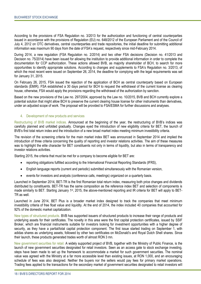According to the provisions of FSA Regulation no. 3/2013 for the authorization and functioning of central counterparties issued in accordance with the provisions of Regulation (EU) no. 648/2012 of the European Parliament and of the Council of July 4, 2012 on OTC derivatives, central counterparties and trade repositories, the initial deadline for submitting additional information was maximum 90 days from the date of FSA's request, respectively since mid-February 2014.

During 2014, a new regulation (FSA Regulation no. 2/2014) and two other FSA decisions (Decision no. 41/2013 and Decision no. 75/2014) have been issued for allowing the institution to provide additional information in order to complete the documentation for CCP authorization. These actions allowed BVB, as majority shareholder of BCH, to search for more opportunities to identify appropriate solutions. According to changes and supplements to FSA's Regulation no. 3/2013, of which the most recent were issued on September 26, 2014, the deadline for complying with the legal requirements was set for January 31, 2015.

On February 26, 2015, FSA issued the rejection of the application of BCH as central counterparty based on European standards (EMIR). FSA established a 30 days period for BCH to request the withdrawal of the current license as clearing house, otherwise, FSA would apply the provisions regarding the withdrawal of the authorization by sanction.

Based on the new provisions of the Law no. 297/2004, approved by the Law no. 10/2015, BVB and BCH currently explore a potential solution that might allow BCH to preserve the current clearing house license for other instruments than derivatives, under an adjusted scope of work. The proposal will be provided to FSA/ESMA for further discussions and analyses.

#### 4. Development of new products and services

Restructuring of BVB market indices. Announced at the beginning of the year, the restructuring of BVB's indices was carefully planned and unfolded gradually. Changes eyed the introduction of new eligibility criteria for BET, the launch of BVB's first total return index and the introduction of a new broad market index meeting minimum investibility criteria.

The revision of the screening criteria for the main market index BET was announced in September 2014 and implied the introduction of three criteria concerning the quality of reporting and investor relations activities. The aim of these measures was to highlight the elite character for BET constituents not only in terms of liquidity, but also in terms of transparency and investor relations activities.

Starting 2015, the criteria that must be met for a company to become eligible for BET are:

- reporting obligations fulfilled according to the International Financial Reporting Standards (IFRS),
- English language reports (current and periodic) submitted simultaneously with the Romanian version,
- events for investors and analysts (conference calls, meetings) organized on a quarterly basis.

Launched in September 2014, BET-TR is the first Romanian total return index, measuring both price changes and dividends distributed by constituents. BET-TR has the same composition as the reference index BET and selection of components is made similarly to BET. Starting January 1st, 2015, the above-mentioned reporting and IR criteria for BET will apply to BET-TR as well.

Launched in June 2014, BET Plus is a broader market index designed to track the companies that meet minimum investibility criteria of free float value and liquidity. At the end of 2014, the index included 40 companies that accounted for 92% of the domestic market capitalization.

New types of structured products. BVB has supported issuers of structured products to increase their range of products and underlying assets for their certificates. The novelty in this area were the first capital protection certificates, issued by SSIF Broker, which are financial instruments suitable for investors looking for investment opportunities with a higher degree of security, as they have a partial/total capital protection component. The first issue started trading on September 1, with adidas shares as underlying assets, followed by other two certificates on McDonald's and Royal Dutch Shell shares. Since their launch, these products generated trades worth of almost RON 3 mn.

New government securities for retail. A widely supported project of BVB, together with the Ministry of Public Finance, is the launch of new government securities designated for retail investors. Seen as an access gate to stock exchange investing, steps have been made to set up the framework to accommodate a market for such government securities. The nominal value was agreed with the Ministry at a far more accessible level than existing issues, at RON 1,000, and an encouraging schedule of fees was also designed. Neither the buyers nor the sellers would pay fees for primary market operations. Trading fees applied to the transactions for the secondary market of government securities designated to retail investors will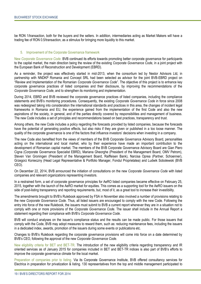be RON 1/transaction, both for the buyers and the sellers. In addition, intermediaries acting as Market Makers will have a trading fee of RON 0.5/transaction, as a stimulus for bringing more liquidity to this market.

#### 5. Improvement of the Corporate Governance framework

New *Corporate Governance Code*. BVB continued its efforts towards promoting better corporate governance for participants to the capital market, the main direction being the review of the existing *Corporate Governance Code*, in a joint project with the European Bank of Reconstruction and Development (EBRD).

As a reminder, the project was effectively started in mid-2013, when the consortium led by Nestor Advisors Ltd, in partnership with NNDKP Romania and Concept SRL had been selected as advisor for the joint BVB-EBRD project on "Review and Implementation of the Romanian *Corporate Governance Code*". The objective of this project is to enhance key corporate governance practices of listed companies and their disclosure, by improving the recommendations of the *Corporate Governance Code*, and to strengthen its monitoring and implementation.

During 2014, EBRD and BVB reviewed the corporate governance practices of listed companies, including the compliance statements and BVB's monitoring procedures. Consequently, the existing *Corporate Governance Code* in force since 2008 was redesigned taking into consideration the international standards and practices in this area, the changes of incident legal frameworks in Romania and EU, the experience gained from the implementation of the first Code and also the new aspirations of the society, in general, and of the parties directly covered by responsibilities and management of business. The new Code includes a set of principles and recommendations based on best practices, transparency and trust.

Among others, the new Code includes a policy regarding the forecasts provided by listed companies, because the forecasts have the potential of generating positive effects, but also risks if they are given or published in a too loose manner. The quality of the corporate governance is one of the factors that influence investors' decisions when investing in a company.

The new Code also benefited from the views of members of the BVB Corporate Governance Advisory Board, personalities acting on the international and local market, who by their experience have made an important contribution to the development of Romanian capital market. The members of the BVB Corporate Governance Advisory Board are Gian Piero Cigna (Corporate Governance Specialist EBRD), Mariana Gheorghe (President of the Management Board, OMV Petrom), Steven Van Groningen (President of the Management Board, Raiffeisen Bank), Narcisa Oprea (Partner, Schoenner), Grzegorz Konieczny (Head Legal Representative & Portfolio Manager, Fondul Proprietatea) and Ludwik Sobolewski (BVB CEO).

On December 22, 2014, BVB announced the initiation of consultations on the new *Corporate Governance Code* with listed companies and relevant organizations representing investors.

In a restrained form, a set of corporate governance principles for AeRO listed companies became effective on February 25, 2015, together with the launch of the AeRO market for equities. This comes as a supporting tool for the AeRO issuers on the side of post-listing transparency and reporting requirements, but, most of it, as a great tool to increase their investibility.

The amendments brought to BVB's Rulebook approved by FSA in November also involved a number of provisions relating to the new *Corporate Governance Code*. Thus, all listed issuers are encouraged to comply with the new Code. Following the entry into force of the new Rulebook, the issuers must submit to BVB a current report whenever they are in a situation not to comply with one or more provisions of the *Corporate Governance Code*. The issuer shall include in the Annual Report a statement regarding their compliance with BVB's *Corporate Governance Code*.

BVB will conduct analyses on the issuer's compliance status and the results can be made public. For those issuers that comply with the Code, BVB may adopt measures to reward them, such as: reducing maintenance fees, including the issuers in a dedicated index, awards, promotion of the issuers during some events or publications etc.

Changes to BVB's Rulebook regarding the corporate governance provisions will come into force on a date determined by BVB's CEO, following the approval of the new *Corporate Governance Code*.

New eligibility criteria for BET and BET-TR. The introduction of the new eligibility criteria regarding transparency and IR oriented services as of January 2015 for companies included in BET and BET-TR indices is also part of BVB's efforts to improve the corporate governance climate for the local market.

Preparation of companies prior to listing. Via its Corporate Governance Institute, BVB offered consultancy services for Electrica in preparation for privatization & listing. 130 representatives from the top and middle management participated to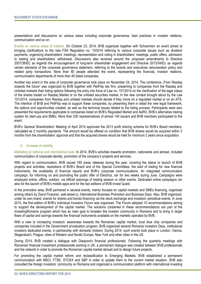presentations and discussions on various areas including corporate governance, best practices in investor relations, communication and so on.

Events on various areas of interest. On October 23, 2014, BVB organized together with Schoenherr an event aimed at bringing clarifications to the new FSA Regulation no. 13/2014 referring to various corporate issues such as dividend payments, organizing shareholders' meetings, representation and voting in shareholders' meetings, public offers, admission to trading and shareholders' withdrawal. Discussions also revolved around the proposed amendments to Directive 2007/36/EC as regards the encouragement of long-term shareholder engagement and Directive 2013/34/EU as regards certain elements of the corporate governance statement, referring to the boards and executives remuneration policy and related party transactions. More than 80 people attended the event, representing the financial, investor relations, communication departments of more than 45 listed companies.

Another key event in the area of corporate governance took place on November 24, 2014. The conference "From Rasdag" towards the future" was organized by BVB together with PeliFilip law firm, presenting to companies from the Rasdaq and Unlisted markets their listing options following the entry into force of Law no. 151/2014 on the clarification of the legal status of the shares traded on Rasdaq Market or on the unlisted securities market. In the new context brought about by the Law 151/2014, companies from Rasdaq and unlisted markets should decide if they move on a regulated market or on an ATS. The intention of BVB and PeliFilip was to support these companies, by presenting them in detail the new legal framework, the options and opportunities created, as well as the technical issues related to the listing process. Participants were also presented the requirements applicable to companies listed on BVB's Regulated Market and AeRO, BVB's alternative trading system for start-ups and SMEs. More than 200 representatives of almost 140 issuers and BVB members participated to the event.

BVB's General Shareholders' Meeting of April 2014 approved the 2013 profit sharing scheme for BVB's Board members, calculated as 2 monthly payments. The amount would be offered on condition that BVB shares would be acquired within 3 months from the shareholders' approval and that the acquired shares would be held for minimum 2 years since acquisition.

#### 6. Increase of visibility

Marketing at national and international level. In 2014, BVB's activities towards promotion, nationwide and abroad, included communication of corporate identity, promotion of the company's projects and services.

With regard to communication, BVB issued 165 press releases during the year, covering the status or launch of BVB projects and activities, resolutions of BVB's Board and of the Special Committees, the start of trading for new financial instruments, the availability of financial reports and BVB's corporate communications. An integrated communication campaign, for informing on and promoting the public offer of Electrica, ran for two weeks during June. Campaigns were employed online, offline, outdoor, via official openings of trading session or other events. Dedicated online campaigns ran also for the launch of BVB's mobile apps and for the two editions of BVB Invest Quest.

In the promotion area, BVB partnered in several events, mainly focused on capital markets and SMEs financing, organized among others by Ziarul Financiar, wall-street.ro, International Business Promotion and Business Days. Also, BVB organized, under its own brand, events for shares and bonds financing via the stock exchange and investors' periodical events. In June 2014, the first edition of BVB's Individual Investors Forum was organized. The Forum adopted 10 recommendations aiming to support the development of the capital market. The solutions contained in these recommendations are part of the InvestingRomania program which has as main goal to broaden the investor community in Romania and to bring in larger flows of capital and savings towards the financial instruments available on the markets operated by BVB.

With a view to increasing investors' awareness towards the Romanian capital market, local blue chip companies and companies included in the Government privatization program, BVB organized several Romania Investors Days, institutional investors dedicated events, in partnership with domestic brokers. During 2014, such events took place in London, Vienna, Stegersbach, Prague, cities of Western and Nordic Europe, New York and other cities in the US.

During 2014, BVB created a dialogue with Diaspora's financial professionals. Following the quarterly meetings with Romanian financial investment professionals working in UK, a permanent dialogue was created between BVB professionals and the network in order to promote the Romanian capital market abroad and to design future projects.

For promoting the capital market reform and reclassification to Emerging Markets, BVB established a permanent communication with MSCI, FTSE, STOXX and S&P in order to update them to the current market situation. BVB also consulted the foreign investors' community on Romania and organized a communication platform with international investing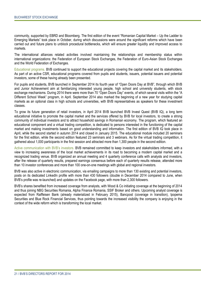community, supported by EBRD and Bloomberg. The first edition of the event "Romanian Capital Market – Up the Ladder to Emerging Markets" took place in October, during which discussions were around the significant reforms which have been carried out and future plans to unblock procedural bottlenecks, which will ensure greater liquidity and improved access to markets.

The international alliances related activities involved maintaining the relationships and membership status within international organizations: the Federation of European Stock Exchanges, the Federation of Euro-Asian Stock Exchanges and the World Federation of Exchanges.

Educational programs. BVB continued to support the educational projects covering the capital market and its stakeholders. As part of an active CSR, educational programs covered from pupils and students, issuers, potential issuers and potential investors, some of these having already been presented.

For pupils and students, BVB launched in September 2014 its fourth year of "Open Doors Day at BVB", through which BVB and Junior Achievement aim at familiarizing interested young people, high school and university students, with stock exchange mechanisms. During 2014 there were more than 70 "Open Doors Day" events, of which several visits within the "A Different School Week" program, in April. September 2014 also marked the beginning of a new year for studying capital markets as an optional class in high schools and universities, with BVB representatives as speakers for these investment classes.

To grow its future generation of retail investors, in April 2014 BVB launched BVB Invest Quest (BVB IQ), a long term educational initiative to promote the capital market and the services offered by BVB for local investors, to create a strong community of individual investors and to attract household savings in Romanian economy. The program, which featured an educational component and a virtual trading competition, is dedicated to persons interested in the functioning of the capital market and making investments based on good understanding and information. The first edition of BVB IQ took place in April, while the second started in autumn 2014 and closed in January 2015. The educational module included 20 seminars for the first edition, while the second edition featured 23 seminars and 3 webinars. As for the virtual trading competition, it gathered about 1,000 participants in the first session and attracted more than 1,300 people in the second edition.

Active communication with BVB's investors. BVB remained committed to keep investors and stakeholders informed, with a view to increasing awareness of the local market achievements in its road to becoming a modern capital market and a recognized trading venue. BVB organized an annual meeting and 4 quarterly conference calls with analysts and investors, after the release of quarterly results, prepared earnings consensus before each of quarterly results release, attended more than 10 investor conferences and more than 100 one-on-one meetings with global and regional investors.

BVB was also active in electronic communication, via emailing campaigns to more than 130 existing and potential investors, posts on its dedicated LinkedIn profile with more than 430 followers (double in December 2014 compared to June, when BVB's profile was re-launched) and updates on the Facebook page, with more than 2,300 followers.

BVB's shares benefited from increased coverage from analysts, with Wood & Co initiating coverage at the beginning of 2014 and thus joining NBG Securities Romania, Alpha Finance Romania, SSIF Broker and others. Upcoming analyst coverage is expected from Raiffeisen Bank (already materialized in February 2015), Bancpost (coverage in transition), Ipopema Securities and Blue Rock Financial Services, thus pointing towards the increased visibility the company is enjoying in the context of the wide reform which is transforming the local market.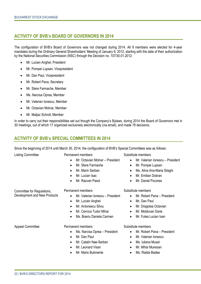## **ACTIVITY OF BVB's BOARD OF GOVERNORS IN 2014**

The configuration of BVB's Board of Governors was not changed during 2014. All 9 members were elected for 4-year mandates during the Ordinary General Shareholders' Meeting of January 9, 2012, starting with the date of their authorization by the National Securities Commission (NSC) through the Decision no. 107/30.01.2012:

- Mr. Lucian Anghel, President
- Mr. Pompei Lupsan, Vicepresident
- Mr. Dan Paul, Vicepresident
- Mr. Robert Pana, Secretary
- Mr. Stere Farmache, Member
- Ms. Narcisa Oprea, Member
- Mr. Valerian Ionescu, Member
- Mr. Octavian Molnar, Member
- Mr. Matjaz Schroll, Member

In order to carry out their responsibilities set out though the Company's Bylaws, during 2014 the Board of Governors met in 30 meetings, out of which 17 organized exclusively electronically (via email), and made 78 decisions.

## **ACTIVITY OF BVB's SPECIAL COMMITTEES IN 2014**

Since the beginning of 2014 until March 30, 2014, the configuration of BVB's Special Committees was as follows:

| <b>Listing Committee</b>     | Permanent members                             | Substitute members                            |  |  |
|------------------------------|-----------------------------------------------|-----------------------------------------------|--|--|
|                              | Mr. Octavian Molnar - President<br>$\bullet$  | Mr. Valerian Ionescu - President<br>$\bullet$ |  |  |
|                              | Mr. Stere Farmache<br>$\bullet$               | Mr. Pompei Lupsan<br>$\bullet$                |  |  |
|                              | Mr. Marin Serban<br>$\bullet$                 | Ms. Alina Ana-Maria Silaghi<br>٠              |  |  |
|                              | Mr. Lucian Isac<br>$\bullet$                  | Mr. Emilian Dobran<br>$\bullet$               |  |  |
|                              | Mr. Razvan Pasol<br>$\bullet$                 | Mr. Daniel Pocorea<br>$\bullet$               |  |  |
| Committee for Regulations,   | Permanent members                             | Substitute members                            |  |  |
| Development and New Products | Mr. Valerian Ionescu – President<br>$\bullet$ | Mr. Robert Pana - President<br>$\bullet$      |  |  |
|                              | Mr. Lucian Anghel<br>$\bullet$                | Mr. Dan Paul<br>$\bullet$                     |  |  |
|                              | Mr. Antonescu Silviu<br>$\bullet$             | Mr. Dragolea Octavian<br>$\bullet$            |  |  |
|                              | Mr. Cernica Tudor Mihai<br>$\bullet$          | Mr. Moldovan Darie<br>$\bullet$               |  |  |
|                              | Ms. Boeriu Daniela Carmen                     | Mr. Fulea Lucian Ioan<br>٠                    |  |  |
| <b>Appeal Committee</b>      | Permanent members                             | Substitute members                            |  |  |
|                              | Ms. Narcisa Oprea – President<br>$\bullet$    | Mr. Robert Pana - President<br>$\bullet$      |  |  |
|                              | Mr. Dan Paul<br>$\bullet$                     | Mr. Valerian Ionescu<br>$\bullet$             |  |  |
|                              | Mr. Catalin Nae-Serban<br>$\bullet$           | Ms. Iuliana Musat<br>٠                        |  |  |
|                              | Mr. Leonard Visan<br>$\bullet$                | Mr. Mihai Muresian<br>٠                       |  |  |
|                              | Mr. Mario Bulimente<br>$\bullet$              | Ms. Rialda Badea<br>٠                         |  |  |
|                              |                                               |                                               |  |  |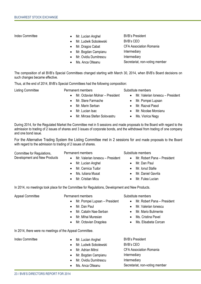- Index Committee **Committee Committee Committee Committee Committee Committee Committee Committee Committee Committee Committee Committee Committee Committee Committee Committee Committee Committee Committee Committee Commi** 
	- Mr. Ludwik Sobolewski BVB's CEO
	-
	- Mr. Bogdan Campianu Intermediary
	- Mr. Ovidiu Dumitrescu Intermediary
	-

Mr. Dragos Cabat CFA Association Romania Ms. Anca Olteanu Secretariat, non-voting member

The composition of all BVB's Special Committees changed starting with March 30, 2014, when BVB's Board decisions on such changes became effective.

Thus, at the end of 2014, BVB's Special Committees had the following composition:

Listing Committee **Example 2** Permanent members **Substitute members** 

- 
- 
- 
- 
- 
- Mr. Mircea Stefan Solovastru **·** Ms. Viorica Nagy

- Mr. Octavian Molnar President Mr. Valerian Ionescu President
	- Mr. Stere Farmache **Mr. Pompei Lupsan**
- Mr. Marin Serban Mr. Razval Pasol
	- Mr. Lucian Isac **Mr. Nicolae Moroianu** 
		-

During 2014, for the Regulated Market the Committee met in 5 sessions and made proposals to the Board with regard to the admission to trading of 2 issues of shares and 3 issues of corporate bonds, and the withdrawal from trading of one company and one bond issue.

For the Alternative Trading System the Listing Committee met in 2 sessions for and made proposals to the Board with regard to the admission to trading of 2 issues of shares.

Committee for Regulations, Development and New Products

- - Mr. Valerian Ionescu President Mr. Robert Pana President
	- Mr. Lucian Anghel **Canadian Control Control of Mr. Dan Paul**
	-
	-
	-

- 
- 
- Mr. Cernica Tudor **Mr. Ionut Stafie**
- Ms. Iuliana Musat **Mr. Daniel Gavrila**
- Mr. Cristian Micu **Calculation Contract Contract Contract Contract Contract Contract Contract Contract Contract Contract Contract Contract Contract Contract Contract Contract Contract Contract Contract Contract Contract Co**

In 2014, no meetings took place for the Committee for Regulations, Development and New Products.

Appeal Committee **Appeal Committee** Permanent members **Substitute members** Substitute members

- Mr. Pompei Lupsan President Mr. Robert Pana President
- Mr. Dan Paul **Mr. Dan Paul Communist Communist Communist Communist Communist Communist Communist Communist Communist Communist Communist Communist Communist Communist Communist Communist Communist Communist Communist Commu**
- Mr. Catalin Nae-Serban Mr. Mario Bulimente
- Mr. Mihai Muresian **Mr. Mihai Muresian Mr. Mihai Muresian**
- Mr. Octavian Dragolea **Corp.** Ms. Elisabeta Corcan

In 2014, there were no meetings of the Appeal Committee.

- Index Committee **Committee Committee Committee Committee Committee Committee Committee Committee Committee Committee Committee Committee Committee Committee Committee Committee Committee Committee Committee Committee Commi** 
	- Mr. Ludwik Sobolewski BVB's CEO
	-
	- Mr. Bogdan Campianu Intermediary
	- Mr. Ovidiu Dumitrescu Intermediary
	-

 Mr. Adrian Mitroi CFA Association Romania Ms. Anca Olteanu Secretariat, non-voting member

Permanent members Substitute members

- - -
		-
		-
		-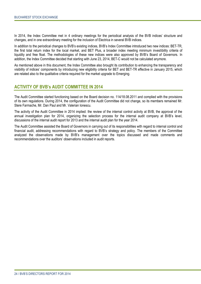In 2014, the Index Committee met in 4 ordinary meetings for the periodical analysis of the BVB indices' structure and changes, and in one extraordinary meeting for the inclusion of Electrica in several BVB indices.

In addition to the periodical changes to BVB's existing indices, BVB's Index Committee introduced two new indices: BET-TR, the first total return index for the local market, and BET Plus, a broader index meeting minimum investibility criteria of liquidity and free float. The methodologies of these new indices were also approved by BVB's Board of Governors. In addition, the Index Committee decided that starting with June 23, 2014, BET-C would not be calculated anymore.

As mentioned above in this document, the Index Committee also brought its contribution to enhancing the transparency and visibility of indices' components by introducing new eligibility criteria for BET and BET-TR effective in January 2015, which are related also to the qualitative criteria required for the market upgrade to Emerging.

## **ACTIVITY OF BVB's AUDIT COMMITTEE IN 2014**

The Audit Committee started functioning based on the Board decision no. 114/18.08.2011 and complied with the provisions of its own regulations. During 2014, the configuration of the Audit Committee did not change, so its members remained Mr. Stere Farmache, Mr. Dan Paul and Mr. Valerian Ionescu.

The activity of the Audit Committee in 2014 implied: the review of the internal control activity at BVB, the approval of the annual investigation plan for 2014, organizing the selection process for the internal audit company at BVB's level, discussions of the internal audit report for 2013 and the internal audit plan for the year 2014.

The Audit Committee assisted the Board of Governors in carrying out of its responsibilities with regard to internal control and financial audit, addressing recommendations with regard to BVB's strategy and policy. The members of the Committee analyzed the observations made by BVB's management over the topics discussed and made comments and recommendations over the auditors' observations included in audit reports.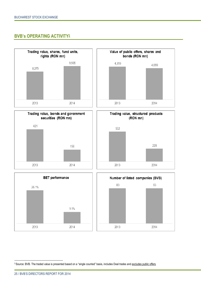## **BVB's OPERATING ACTIVITY<sup>2</sup>**



 $\begin{array}{c} \begin{array}{c} \begin{array}{c} \begin{array}{c} \end{array}\\ \end{array} \end{array} \end{array} \end{array}$ 

 $\ddot{\phantom{a}}$ 

<sup>3</sup> Source: BVB. The traded value is presented based on a "single counted" basis, includes Deal trades and excludes public offers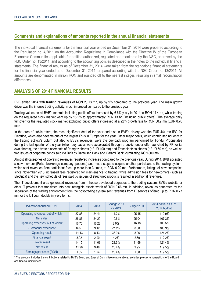## **Comments and explanations of amounts reported in the annual financial statements**

The individual financial statements for the financial year ended on December 31, 2014 were prepared according to the Regulation no. 4/2011 on the Accounting Regulations in Compliance with the Directive IV of the European Economic Communities applicable for entities authorized, regulated and monitored by the NSC, approved by the NSC Order no. 13/2011, and according to the accounting policies described in the notes to the individual financial statements. The financial results as of December 31, 2014 were taken from the standalone financial statements for the financial year ended as of December 31, 2014, prepared according with the NSC Order no. 13/2011. All amounts are denominated in million RON and rounded off to the nearest integer, resulting in small reconciliation differences.

## **ANALYSIS OF 2014 FINANCIAL RESULTS**

BVB ended 2014 with **trading revenues** of RON 23.13 mn, up by 9% compared to the previous year. The main growth driver was the intense trading activity, much improved compared to the previous year.

Trading values on all BVB's markets including public offers increased by 6.6% y-o-y in 2014 to RON 14.4 bn, while trading on the regulated stock market went up by 15.2% to approximately RON 13 bn (including public offers). The average daily turnover for the regulated stock market excluding public offers increased at a 22% growth rate to RON 38.9 mn (EUR 8.76 mn).

In the area of public offers, the most significant deal of the year and also in BVB's history was the EUR 444 mn IPO for Electrica, which also became one of the largest IPOs in Europe for the year. Other major deals, which contributed not only to the trading activity's upturn but also to BVB's revenues, were the buy-back program performed by Fondul Proprietatea during the last quarter of the year (when buy-backs were accelerated through a public tender offer launched by FP for its own shares), the private placements of Romgaz shares (~EUR 100 mn) and Transelectrica shares (~EUR 50 mn), as well as two issues of corporate bonds sold via BVB by Raiffeisen Bank and Garanti Bank, cumulating RON 800 mn.

Almost all categories of operating revenues registered increases compared to the previous year. During 2014, BVB accepted a new member (Polish brokerage company Ipopema) and made steps to acquire another participant to the trading system, which sent revenues from participant fees up more than 3 times, to RON 0.29 mn. Furthermore, listings of new companies since November 2013 increased fees registered for maintenance to trading, while admission fees for newcomers (such as Electrica) and the new schedule of fees paid by issuers of structured products resulted in additional revenues.

The IT development area generated revenues from in-house developed upgrades to the trading system, BVB's website or other IT projects that translated into new intangible assets worth of RON 0.66 mn. In addition, revenues generated by the separation of the trading environment from the post-trading system sent revenues from IT services offered up to RON 0.77 mn for the full year, double in y-o-y terms.

| Indicator (thousand RON)          | 2014  | 2013  | Change 2014<br>vs 2013 | Budget 2014 | 2014 actual as $%$ of<br>2014 budget |
|-----------------------------------|-------|-------|------------------------|-------------|--------------------------------------|
| Operating revenues, out of which: | 27.88 | 24.41 | 14.2%                  | 25.15       | 110.9%                               |
| Net sales                         | 26.87 | 24.29 | 10.6%                  | 25.04       | 107.3%                               |
| Operating expenses, out of which: | 16.75 | 16.28 | 2.9%                   | 16.18       | 103.5%                               |
| - Personnel expenses*             | 8.87  | 9.12  | $-2.7%$                | 8.30        | 106.9%                               |
| Operating result                  | 11.13 | 8.13  | 36.9%                  | 8.96        | 124.2%                               |
| <b>Financial result</b>           | 3.02  | 2.90  | 4.2%                   | 2.69        | 112.2%                               |
| Pre-tax result                    | 14.15 | 11.03 | 28.3%                  | 11.66       | 121.4%                               |
| Net result                        | 11.90 | 9.48  | 25.4%                  | 9.95        | 119.5%                               |
| Earnings per share (RON)          | 1.55  | 1.24  | 25.4%                  | 1.30        | 119.5%                               |

\* The amounts includes the contributions related to BVB's Board and Special Committee remunerations, excludes pre-tax remunerations of the Board and Special Committees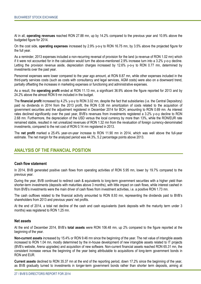Al in all, **operating revenues** reached RON 27.88 mn, up by 14.2% compared to the previous year and 10.9% above the budgeted figure for 2014.

On the cost side, **operating expenses** increased by 2.9% y-o-y to RON 16.75 mn, by 3.5% above the projected figure for the full year.

As a reminder, 2013 expenses included a non-recurring reversal of provision for the land (a revenue of RON 1.02 mn) which if it were not accounted for in the calculation would turn the above-mentioned 2.9% increase turn into a 3.2% y-o-y decline. Letting the provision revenue aside, depreciation charges increased by 12.6% y-o-y to RON 0.77 mn, determined by investments over the past year.

Personnel expenses were lower compared to the year ago amount, at RON 8.87 mn, while other expenses included in the third-party services costs (such as costs with consultancy and legal services, AGM costs) were also on a downward trend, partially offsetting the increases in marketing expenses or functioning and administrative expenses.

As a result, the **operating profit** ended at RON 11.13 mn, a significant 36.9% above the figure reported for 2013 and by 24.2% above the almost RON 9 mn included in the budget.

The **financial profit** increased by 4.2% y-o-y to RON 3.02 mn, despite the fact that subsidiaries (i.e. the Central Depository) paid no dividends in 2014 from the 2013 profit, the RON 0.38 mn amortization of costs related to the acquisition of government securities and the adjustment registered in December 2014 for BCH, amounting to RON 0.69 mn. As interest rates declined significantly over the past year, BVB's revenues from investments registered a 3.2% y-o-y decline to RON 2.68 mn. Furthermore, the depreciation of the USD versus the local currency by more than 13%, while the RON/EUR rate remained stable, resulted in net unrealized revenues of RON 1.32 mn from the revaluation of foreign currency-denominated investments, compared to the net cost of RON 0.14 mn registered in 2013.

The **net profit** marked a 25.4% year-on-year increase to RON 11.90 mn in 2014, which was well above the full-year estimate. The net margin for the analyzed period was 44.3%, 5.2 percentage points above 2013.

## **ANALYSIS OF THE FINANCIAL POSITION**

## **Cash flow statement**

In 2014, BVB generated positive cash flows from operating activities of RON 5.95 mn, lower by 19.7% compared to the previous year.

During the year, BVB continued to redirect cash & equivalents to long-term government securities with a higher yield than shorter-term investments (deposits with maturities above 3 months), with little impact on cash flows, while interest cashed in from BVB's investments were the main driver of cash flows from investment activities, i.e. a positive RON 1.73 mn.

The cash outflows related to the financial activity amounted to RON 8.93 mn, representing the dividends paid to BVB's shareholders from 2013 and previous years' net profits.

At the end of 2014, a total net decline of the cash and cash equivalents (bank deposits with the maturity term under 3 months) was registered to RON 1.25 mn.

#### **Net assets**

At the end of December 2014, BVB's **total assets** were RON 106.48 mn, up 2% compared to the figure reported at the beginning of the year.

**Non-current assets** increased by 15.4% or RON 9.46 mn since the beginning of the year. The net value of intangible assets increased to RON 1.04 mn, mostly determined by the in-house development of new intangible assets related to IT projects (BVB's website, Arena upgrades) and acquisition of new software. Non-current financial assets reached RON 65.31 mn, the consistent increase versus the beginning of the year being attributable to acquisitions of long-term government bonds in RON and EUR.

**Current assets** declined to RON 35.37 mn at the end of the reporting period, down 17.2% since the beginning of the year, as BVB gradually turned to investments in longer-term government bonds rather than shorter term deposits, aiming at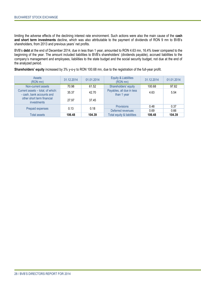limiting the adverse effects of the declining interest rate environment. Such actions were also the main cause of the **cash and short term investments** decline, which was also attributable to the payment of dividends of RON 9 mn to BVB's shareholders, from 2013 and previous years' net profits.

BVB's **debt** at the end of December 2014, due in less than 1 year, amounted to RON 4.63 mn, 16.4% lower compared to the beginning of the year. The amount included liabilities to BVB's shareholders' (dividends payable), accrued liabilities to the company's management and employees, liabilities to the state budget and the social security budget, not due at the end of the analyzed period.

**Shareholders' equity** increased by 3% y-o-y to RON 100.68 mn, due to the registration of the full-year profit.

| <b>Assets</b><br>(RON mn)                                      | 31.12.2014 | 01.01.2014                                        | Equity & Liabilities<br>(RON mn) | 31.12.2014 | 01.01.2014 |
|----------------------------------------------------------------|------------|---------------------------------------------------|----------------------------------|------------|------------|
| Non-current assets                                             | 70.98      | 61.52                                             | Shareholders' equity             | 100.68     | 97.82      |
| Current assets - total, of which:<br>- cash, bank accounts and | 35.37      | Payables, all due in less<br>42.70<br>than 1 year |                                  | 4.63       | 5.54       |
| other short term financial<br>investments                      | 27.97      | 37.45                                             |                                  |            |            |
| 0.18<br>0.13                                                   |            | <b>Provisions</b>                                 | 0.48                             | 0.37       |            |
| Prepaid expenses                                               |            |                                                   | Deferred revenues                | 0.69       | 0.66       |
| <b>Total assets</b>                                            | 106.48     | 104.39                                            | Total equity & liabilities       | 106.48     | 104.39     |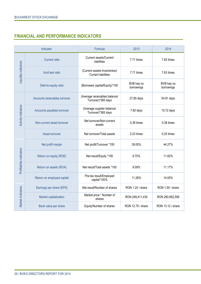# **FINANCIAL AND PERFORMANCE INDICATORS**

| Indicator                  |                               | Formula                                                     | 2013                     | 2014                     |  |
|----------------------------|-------------------------------|-------------------------------------------------------------|--------------------------|--------------------------|--|
| Liquidity indicators       | <b>Current ratio</b>          | <b>Current assets/Current</b><br>liabilities                | 7.71 times               | 7.63 times               |  |
|                            | Acid test ratio               | (Current assets-Inventories)/<br><b>Current liabilities</b> | 7.71 times               | 7.63 times               |  |
|                            | Debt-to-equity ratio          | (Borrowed capital/Equity)*100                               | BVB has no<br>borrowings | BVB has no<br>borrowings |  |
| <b>Activity indicators</b> | Accounts receivables turnover | (Average receivables balance/<br>Turnover)*365 days         | 27.65 days               | 54.81 days               |  |
|                            | Accounts payables turnover    | (Average supplier balance/<br>Turnover)*365 days            | 7.60 days                | 10.72 days               |  |
|                            | Non-current asset turnover    | Net turnover/Non-current<br>assets                          | 0.39 times               | 0.38 times               |  |
|                            | Asset turnover                | Net turnover/Total assets                                   | 0.23 times               | $0.25$ times             |  |
| Profitability indicators   | Net profit margin             | Net profit/Turnover *100                                    | 39.05%                   | 44.27%                   |  |
|                            | Return on equity (ROE)        | Net result/Equity *100                                      | 9.70%                    | 11.82%                   |  |
|                            | Return on assets (ROA)        | Net result/Total assets *100                                | 9.09%                    | 11.17%                   |  |
|                            | Return on employed capital    | Pre-tax result/Employed<br>capital*100%                     | 11.28%                   | 14.05%                   |  |
| Market Indicators          | Earnings per share (EPS)      | Net result/Number of shares                                 | RON 1.24 / share         | RON 1.55 / share         |  |
|                            | Market capitalization         | Market price * Number of<br>shares                          | RON 249,411,435          | RON 260,692,506          |  |
|                            | Book value per share          | Equity/Number of shares                                     | RON 12.75 / share        | RON 13.12 / share        |  |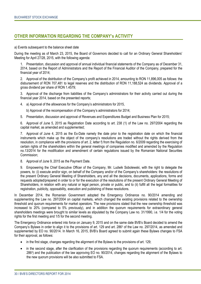## **OTHER INFORMATION REGARDING THE COMPANY's ACTIVITY**

a) Events subsequent to the balance sheet date

During the meeting as of March 23, 2015, the Board of Governors decided to call for an Ordinary General Shareholders' Meeting for April 27/28, 2015, with the following agenda:

1. Presentation, discussion and approval of annual individual financial statements of the Company as of December 31, 2014, based on the Report of Administrators and the Report of the Financial Auditor of the Company, prepared for the financial year of 2014;

2. Approval of the distribution of the Company's profit achieved in 2014, amounting to RON 11,896,005 as follows: the disbursement of RON 707,481 to legal reserves and the distribution of RON 11,188,524 as dividends. Approval of a gross dividend per share of RON 1.4579;

3. Approval of the discharge from liabilities of the Company's administrators for their activity carried out during the financial year 2014, based on the presented reports;

4. a) Approval of the allowances for the Company's administrators for 2015,

b) Approval of the recompensation of the Company's administrators for 2014;

5. Presentation, discussion and approval of Revenues and Expenditures Budget and Business Plan for 2015;

6. Approval of June 5, 2015 as Registration Date according to art. 238 (1) of the Law no. 297/2004 regarding the capital market, as amended and supplemented;

7. Approval of June 4, 2015 as the Ex-Date namely the date prior to the registration date on which the financial instruments which make up the object of the company's resolutions are traded without the rights derived from the resolution, in compliance with the provisions of art. 2, letter f) from the Regulation no. 6/2009 regarding the exercising of certain rights of the shareholders within the general meetings of companies modified and amended by the Regulation no.13/2014 for the modification and amendment of certain regulations issued by the Romanian National Securities Commission;

8. Approval of June 9, 2015 as the Payment Date.

9. Empowering the Chief Executive Officer of the Company, Mr. Ludwik Sobolewski, with the right to delegate the powers, to: (i) execute and/or sign, on behalf of the Company and/or of the Company's shareholders: the resolutions of the present Ordinary General Meeting of Shareholders, any and all the decisions, documents, applications, forms and requests adopted/prepared in order to or for the execution of the resolutions of the present Ordinary General Meeting of Shareholders, in relation with any natural or legal person, private or public, and to (ii) fulfill all the legal formalities for registration, publicity, opposability, execution and publishing of these resolutions.

In December 2014, the Romanian Government adopted the Emergency Ordinance no. 90/2014 amending and supplementing the Law no. 297/2004 on capital markets, which changed the existing provisions related to the ownership threshold and quorum requirements for market operators. The new provisions stated that the new ownership threshold was increased to 20% (compared to 5% previously), and in addition the quorum requirements for extraordinary general shareholders meetings were brought to similar levels as stipulated by the Company Law no. 31/1990, i.e. 1/4 for the voting rights for the first meeting and 1/5 for the second meeting.

The Emergency Ordinance entered into force on January 9, 2015 and on the same date BVB's Board decided to amend the Company's Bylaws in order to align it to the provisions of art. 129 and art. 286<sup>3</sup> of the Law no. 297/2014, as amended and supplemented by EO no. 90/2014. In March 16, 2015, BVB's Board agreed to submit again these Bylaws changes to FSA for their approval, as follows:

- in the first stage, changes regarding the alignment of the Bylaws to the provisions of art. 129;
- in the second stage, after the clarification of the provisions regarding the quorum requirements (according to art. 286<sup>3</sup> ) and the publication of the law approving EO no. 90/2014, changes regarding the alignment of the Bylaws to the new quorum provisions will be also submitted to FSA.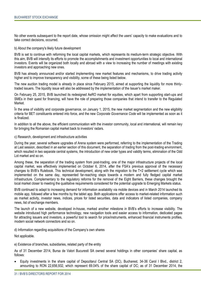No other events subsequent to the report date, whose omission might affect the users' capacity to make evaluations and to take correct decisions, occurred.

b) About the company's likely future development

BVB is set to continue with reforming the local capital markets, which represents its medium-term strategic objective. With this aim, BVB will intensify its efforts to promote the accomplishments and investment opportunities to local and international investors. Events will be organized both locally and abroad with a view to increasing the number of meetings with existing investors and approaching new ones.

BVB has already announced and/or started implementing new market features and mechanisms, to drive trading activity higher and to improve transparency and visibility, some of these being listed below.

The new auction trading model is already in place since February 2015, aimed at supporting the liquidity for more thinlytraded issuers. The liquidity issue will also be addressed by the implementation of the Issuer's market maker.

On February 25, 2015, BVB launched its redesigned AeRO market for equities, which apart from supporting start-ups and SMEs in their quest for financing, will have the role of preparing those companies that intend to transfer to the Regulated **Market** 

În the area of visibility and corporate governance, on January 1, 2015, the new market segmentation and the new eligibility criteria for BET constituents entered into force, and the new *Corporate Governance Code* will be implemented as soon as it is finalized.

In addition to all the above, the efficient communication with the investor community, local and international, will remain key for bringing the Romanian capital market back to investors' radars.

c) Research, development and infrastructure activities

During the year, several software upgrades of Arena system were performed, referring to the implementation of the Trading at Last session, described in an earlier section of this document, the separation of trading from the post-trading environment, which resulted in two separate central systems, the introduction of new order types and validity terms, elimination of the Odd Lot market and so on.

Among these, the separation of the trading system from post-trading, one of the major infrastructure projects of the local capital market, was effectively implemented on October 6, 2014, after the FSA's previous approval of the necessary changes to BVB's Rulebook. This technical development, along with the migration to the T+2 settlement cycle which was implemented on the same day, represented far-reaching steps towards a modern and fully fledged capital market infrastructure. Complementary to the regulatory reforms for the removal of the Eight Barriers, these changes brought the local market closer to meeting the qualitative requirements considered for the potential upgrade to Emerging Markets status.

BVB continued to adapt to increasing demand for information availability via mobile devices and in March 2014 launched its mobile app, followed after a few months by the tablet app. Both applications offer access to market-related information such as market activity, investor news, indices, prices for listed securities, data and indicators of listed companies, company news, list of exchange members.

The launch of a new website, developed in-house, marked another milestone in BVB's efforts to increase visibility. The website introduced high performance technology, new navigation tools and easier access to information, dedicated pages for attracting issuers and investors, a powerful tool to search for price/instruments, enhanced financial instruments profiles, modern social network connectors and so on.

d) Information regarding acquisitions of the Company's own shares

Not applicable.

e) Existence of branches, subsidiaries, related party of the entity

As of 31 December 2014, Bursa de Valori Bucuresti SA owned several holdings in other companies' share capital, as follows:

 Equity investments in the share capital of Depozitarul Central SA (DC), Bucharest, 34-36 Carol I Blvd., district 2, amounting to RON 22,656,932, which represent 69.04% of the share capital of DC; as of 31 December 2014, the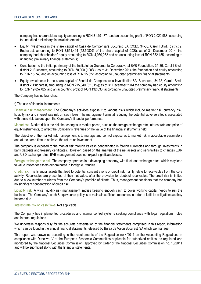company had shareholders' equity amounting to RON 31,191,771 and an accounting profit of RON 2,020,988, according to unaudited preliminary financial statements;

- Equity investments in the share capital of Casa de Compensare Bucuresti SA (CCB), 34-36, Carol I Blvd., district 2, Bucharest, amounting to RON 3,651,494 (52.5080% of the share capital of CCB); as of 31 December 2014, the company had shareholders' equity amounting to RON 4,980,052 and an accounting loss of RON 382,155, according to unaudited preliminary financial statements;
- Contribution to the initial patrimony of the Institutul de Guvernanta Corporativa al BVB Foundation, 34-36, Carol I Blvd., district 2, Bucharest, amounting to RON 50,000 (100%); as of 31 December 2014 the foundation had equity amounting to RON 15,740 and an accounting loss of RON 15,622, according to unaudited preliminary financial statements;
- Equity investments in the share capital of Fondul de Compensare a Investitorilor SA, Bucharest, 34-36, Carol I Blvd., district 2, Bucharest, amounting to RON 215,040 (62.31%); as of 31 December 2014 the company had equity amounting to RON 19,857,027 and an accounting profit of RON 132,033, according to unaudited preliminary financial statements.

The Company has no branches.

#### f) The use of financial instruments

Financial risk management. The Company's activities expose it to various risks which include market risk, currency risk, liquidity risk and interest rate risk on cash flows. The management aims at reducing the potential adverse effects associated with these risk factors upon the Company's financial performance.

Market risk. Market risk is the risk that changes in market prices, such as the foreign exchange rate, interest rate and price of equity instruments, to affect the Company's revenues or the value of the financial instruments held.

The objective of the market risk management is to manage and control exposures to market risk in acceptable parameters and at the same time to optimize the return on investment.

The company is exposed to the market risk through its cash denominated in foreign currencies and through investments in bank deposits and treasury certificates. However, based on the analysis of the net assets and sensitivities to changes EUR and USD exchange rates, BVB management does not expect significant losses.

Foreign exchange rate risk. The company operates in a developing economy, with fluctuant exchange rates, which may lead to value losses for assets denominated in foreign currencies.

Credit risk. The financial assets that lead to potential concentrations of credit risk mainly relate to receivables from the core activity. Receivables are presented at their net value, after the provision for doubtful receivables. The credit risk is limited due to a low number of clients from the Company's portfolio of clients. Thus, management considers that the company has no significant concentration of credit risk.

Liquidity risk. A wise liquidity risk management implies keeping enough cash to cover working capital needs to run the business. The Company's cash & equivalents policy is to maintain sufficient resources in order to fulfill its obligations as they become due.

Interest rate risk on cash flows. Not applicable.

The Company has implemented procedures and internal control systems seeking compliance with legal regulations, rules and internal regulations.

We undertake responsibility for the accurate presentation of the financial statements comprised in this report, information which can be found in the annual financial statements released by Bursa de Valori București SA which we manage.

This report was drawn up according to the requirements of the Regulation no 4/2011 on the Accounting Regulations in compliance with Directive IV of the European Economic Communities applicable for authorized entities, as regulated and monitored by the National Securities Commission, approved by Order of the National Securities Commission no. 13/2011 and will be submitted along with the financial statements.